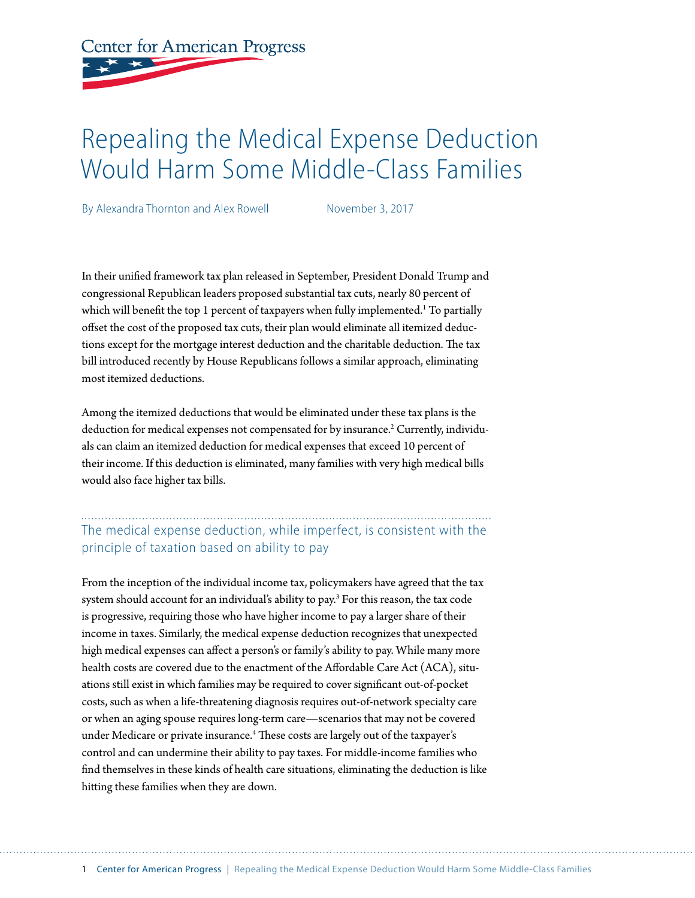# **Center for American Progress**

# Repealing the Medical Expense Deduction Would Harm Some Middle-Class Families

By Alexandra Thornton and Alex Rowell November 3, 2017

In their unifed framework tax plan released in September, President Donald Trump and congressional Republican leaders proposed substantial tax cuts, nearly 80 percent of which will benefit the top 1 percent of taxpayers when fully implemented.<sup>1</sup> To partially ofset the cost of the proposed tax cuts, their plan would eliminate all itemized deductions except for the mortgage interest deduction and the charitable deduction. The tax bill introduced recently by House Republicans follows a similar approach, eliminating most itemized deductions.

Among the itemized deductions that would be eliminated under these tax plans is the deduction for medical expenses not compensated for by insurance.<sup>2</sup> Currently, individuals can claim an itemized deduction for medical expenses that exceed 10 percent of their income. If this deduction is eliminated, many families with very high medical bills would also face higher tax bills.

# The medical expense deduction, while imperfect, is consistent with the principle of taxation based on ability to pay

From the inception of the individual income tax, policymakers have agreed that the tax system should account for an individual's ability to pay.<sup>3</sup> For this reason, the tax code is progressive, requiring those who have higher income to pay a larger share of their income in taxes. Similarly, the medical expense deduction recognizes that unexpected high medical expenses can afect a person's or family's ability to pay. While many more health costs are covered due to the enactment of the Afordable Care Act (ACA), situations still exist in which families may be required to cover signifcant out-of-pocket costs, such as when a life-threatening diagnosis requires out-of-network specialty care or when an aging spouse requires long-term care—scenarios that may not be covered under Medicare or private insurance.<sup>4</sup> These costs are largely out of the taxpayer's control and can undermine their ability to pay taxes. For middle-income families who fnd themselves in these kinds of health care situations, eliminating the deduction is like hiting these families when they are down.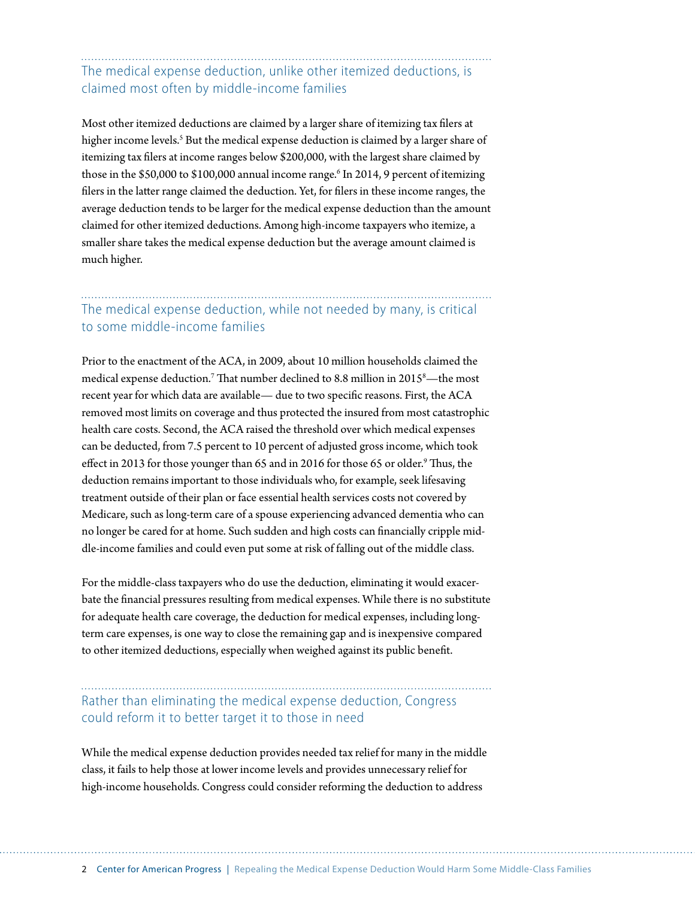# The medical expense deduction, unlike other itemized deductions, is claimed most often by middle-income families

Most other itemized deductions are claimed by a larger share of itemizing tax flers at higher income levels.<sup>5</sup> But the medical expense deduction is claimed by a larger share of itemizing tax flers at income ranges below \$200,000, with the largest share claimed by those in the \$50,000 to \$100,000 annual income range.<sup>6</sup> In 2014, 9 percent of itemizing flers in the later range claimed the deduction. Yet, for flers in these income ranges, the average deduction tends to be larger for the medical expense deduction than the amount claimed for other itemized deductions. Among high-income taxpayers who itemize, a smaller share takes the medical expense deduction but the average amount claimed is much higher.

## The medical expense deduction, while not needed by many, is critical to some middle-income families

Prior to the enactment of the ACA, in 2009, about 10 million households claimed the medical expense deduction.<sup>7</sup> That number declined to 8.8 million in 2015<sup>8</sup>—the most recent year for which data are available— due to two specifc reasons. First, the ACA removed most limits on coverage and thus protected the insured from most catastrophic health care costs. Second, the ACA raised the threshold over which medical expenses can be deducted, from 7.5 percent to 10 percent of adjusted gross income, which took effect in 2013 for those younger than 65 and in 2016 for those 65 or older.<sup>9</sup> Thus, the deduction remains important to those individuals who, for example, seek lifesaving treatment outside of their plan or face essential health services costs not covered by Medicare, such as long-term care of a spouse experiencing advanced dementia who can no longer be cared for at home. Such sudden and high costs can fnancially cripple middle-income families and could even put some at risk of falling out of the middle class.

For the middle-class taxpayers who do use the deduction, eliminating it would exacerbate the fnancial pressures resulting from medical expenses. While there is no substitute for adequate health care coverage, the deduction for medical expenses, including longterm care expenses, is one way to close the remaining gap and is inexpensive compared to other itemized deductions, especially when weighed against its public beneft.

### Rather than eliminating the medical expense deduction, Congress could reform it to better target it to those in need

While the medical expense deduction provides needed tax relief for many in the middle class, it fails to help those at lower income levels and provides unnecessary relief for high-income households. Congress could consider reforming the deduction to address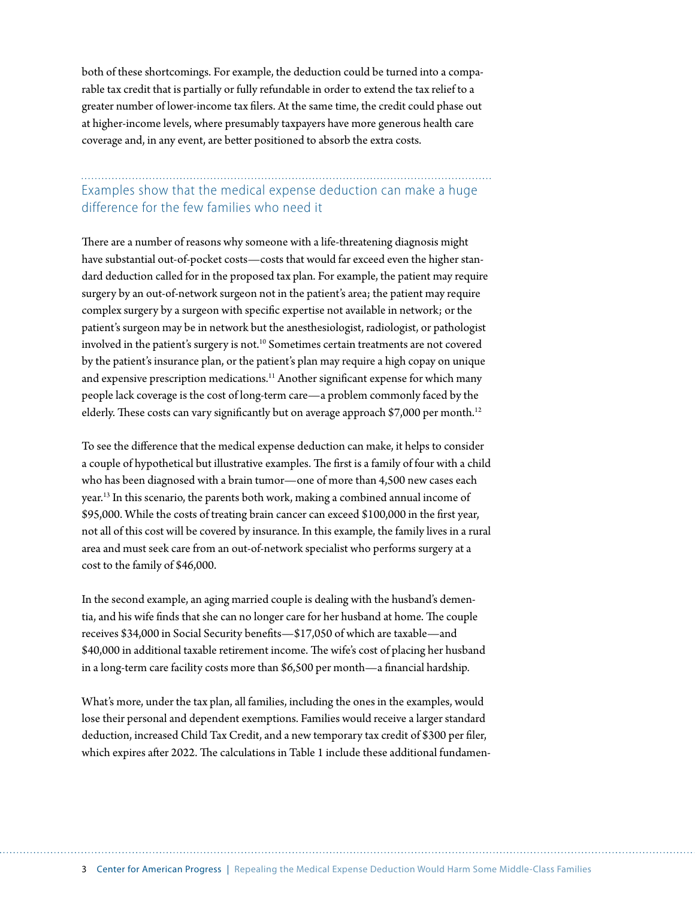both of these shortcomings. For example, the deduction could be turned into a comparable tax credit that is partially or fully refundable in order to extend the tax relief to a greater number of lower-income tax flers. At the same time, the credit could phase out at higher-income levels, where presumably taxpayers have more generous health care coverage and, in any event, are beter positioned to absorb the extra costs.

#### Examples show that the medical expense deduction can make a huge difference for the few families who need it

There are a number of reasons why someone with a life-threatening diagnosis might have substantial out-of-pocket costs—costs that would far exceed even the higher standard deduction called for in the proposed tax plan. For example, the patient may require surgery by an out-of-network surgeon not in the patient's area; the patient may require complex surgery by a surgeon with specifc expertise not available in network; or the patient's surgeon may be in network but the anesthesiologist, radiologist, or pathologist involved in the patient's surgery is not.<sup>10</sup> Sometimes certain treatments are not covered by the patient's insurance plan, or the patient's plan may require a high copay on unique and expensive prescription medications.<sup>11</sup> Another significant expense for which many people lack coverage is the cost of long-term care—a problem commonly faced by the elderly. These costs can vary significantly but on average approach \$7,000 per month.<sup>12</sup>

To see the diference that the medical expense deduction can make, it helps to consider a couple of hypothetical but illustrative examples. The first is a family of four with a child who has been diagnosed with a brain tumor—one of more than 4,500 new cases each year.13 In this scenario, the parents both work, making a combined annual income of \$95,000. While the costs of treating brain cancer can exceed \$100,000 in the frst year, not all of this cost will be covered by insurance. In this example, the family lives in a rural area and must seek care from an out-of-network specialist who performs surgery at a cost to the family of \$46,000.

In the second example, an aging married couple is dealing with the husband's dementia, and his wife finds that she can no longer care for her husband at home. The couple receives \$34,000 in Social Security benefts—\$17,050 of which are taxable—and \$40,000 in additional taxable retirement income. The wife's cost of placing her husband in a long-term care facility costs more than \$6,500 per month—a fnancial hardship.

What's more, under the tax plan, all families, including the ones in the examples, would lose their personal and dependent exemptions. Families would receive a larger standard deduction, increased Child Tax Credit, and a new temporary tax credit of \$300 per fler, which expires after 2022. The calculations in Table 1 include these additional fundamen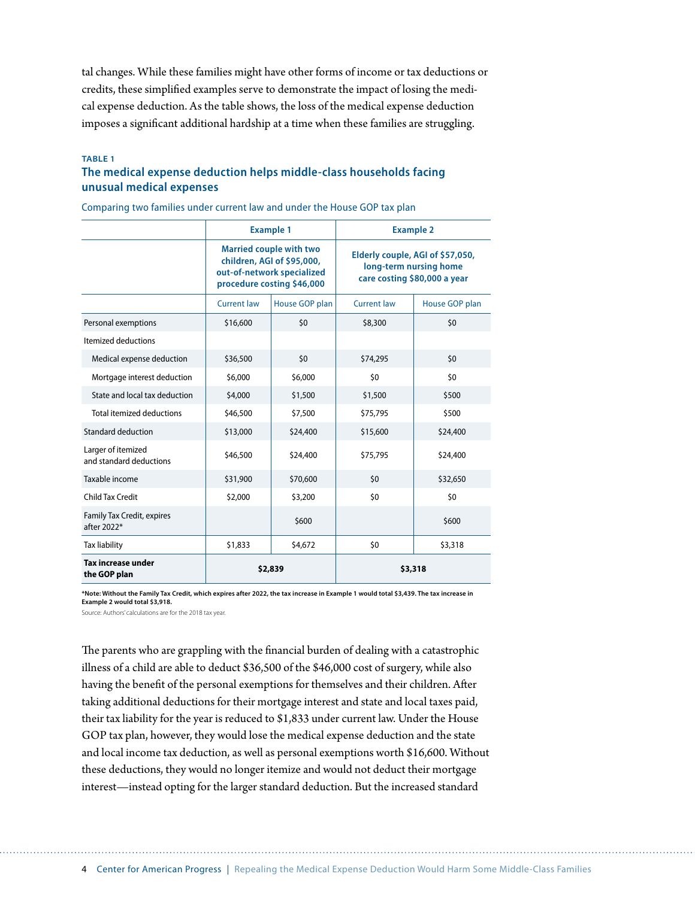tal changes. While these families might have other forms of income or tax deductions or credits, these simplifed examples serve to demonstrate the impact of losing the medical expense deduction. As the table shows, the loss of the medical expense deduction imposes a signifcant additional hardship at a time when these families are struggling.

#### **TABLE 1**

#### **The medical expense deduction helps middle-class households facing unusual medical expenses**

|                                                  | <b>Example 1</b>                                                                                                         |                | <b>Example 2</b>                                                                           |                |
|--------------------------------------------------|--------------------------------------------------------------------------------------------------------------------------|----------------|--------------------------------------------------------------------------------------------|----------------|
|                                                  | <b>Married couple with two</b><br>children, AGI of \$95,000,<br>out-of-network specialized<br>procedure costing \$46,000 |                | Elderly couple, AGI of \$57,050,<br>long-term nursing home<br>care costing \$80,000 a year |                |
|                                                  | <b>Current law</b>                                                                                                       | House GOP plan | <b>Current law</b>                                                                         | House GOP plan |
| Personal exemptions                              | \$16,600                                                                                                                 | 50             | \$8,300                                                                                    | 50             |
| Itemized deductions                              |                                                                                                                          |                |                                                                                            |                |
| Medical expense deduction                        | \$36,500                                                                                                                 | \$0            | \$74,295                                                                                   | \$0            |
| Mortgage interest deduction                      | \$6,000                                                                                                                  | \$6,000        | \$0                                                                                        | \$0            |
| State and local tax deduction                    | \$4,000                                                                                                                  | \$1,500        | \$1,500                                                                                    | \$500          |
| <b>Total itemized deductions</b>                 | \$46,500                                                                                                                 | \$7,500        | \$75,795                                                                                   | \$500          |
| Standard deduction                               | \$13,000                                                                                                                 | \$24,400       | \$15,600                                                                                   | \$24,400       |
| Larger of itemized<br>and standard deductions    | \$46,500                                                                                                                 | \$24,400       | \$75,795                                                                                   | \$24,400       |
| Taxable income                                   | \$31,900                                                                                                                 | \$70,600       | \$0                                                                                        | \$32,650       |
| <b>Child Tax Credit</b>                          | \$2,000                                                                                                                  | \$3,200        | \$0                                                                                        | \$0            |
| <b>Family Tax Credit, expires</b><br>after 2022* |                                                                                                                          | \$600          |                                                                                            | \$600          |
| <b>Tax liability</b>                             | \$1,833                                                                                                                  | \$4,672        | \$0                                                                                        | \$3,318        |
| <b>Tax increase under</b><br>the GOP plan        | \$2,839                                                                                                                  |                | \$3,318                                                                                    |                |

Comparing two families under current law and under the House GOP tax plan

**\*Note: Without the Family Tax Credit, which expires after 2022, the tax increase in Example 1 would total \$3,439. The tax increase in Example 2 would total \$3,918.** 

Source: Authors' calculations are for the 2018 tax year.

The parents who are grappling with the financial burden of dealing with a catastrophic illness of a child are able to deduct \$36,500 of the \$46,000 cost of surgery, while also having the beneft of the personal exemptions for themselves and their children. Afer taking additional deductions for their mortgage interest and state and local taxes paid, their tax liability for the year is reduced to \$1,833 under current law. Under the House GOP tax plan, however, they would lose the medical expense deduction and the state and local income tax deduction, as well as personal exemptions worth \$16,600. Without these deductions, they would no longer itemize and would not deduct their mortgage interest—instead opting for the larger standard deduction. But the increased standard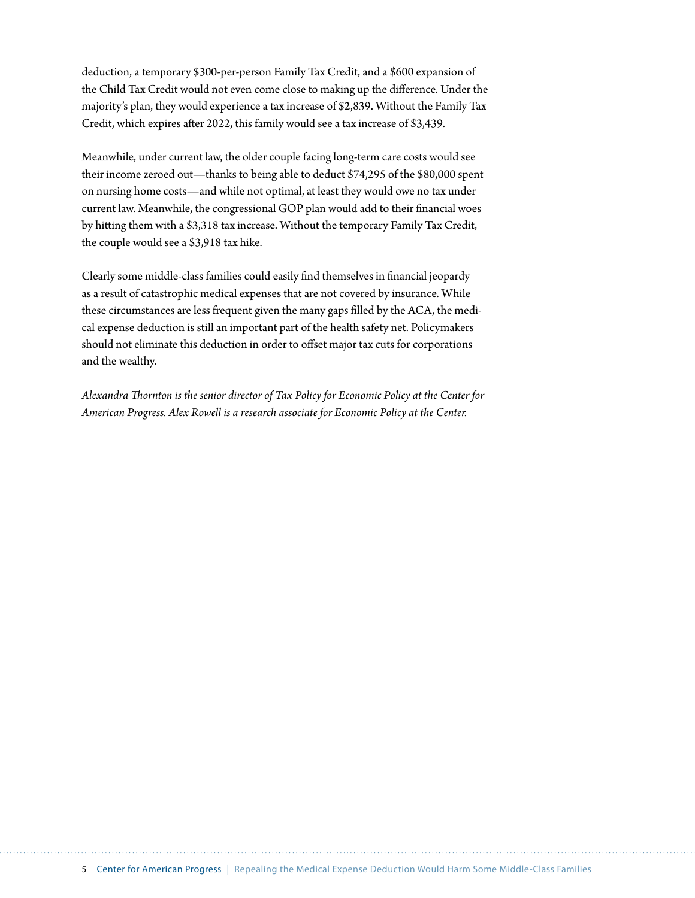deduction, a temporary \$300-per-person Family Tax Credit, and a \$600 expansion of the Child Tax Credit would not even come close to making up the diference. Under the majority's plan, they would experience a tax increase of \$2,839. Without the Family Tax Credit, which expires afer 2022, this family would see a tax increase of \$3,439.

Meanwhile, under current law, the older couple facing long-term care costs would see their income zeroed out—thanks to being able to deduct \$74,295 of the \$80,000 spent on nursing home costs—and while not optimal, at least they would owe no tax under current law. Meanwhile, the congressional GOP plan would add to their fnancial woes by hiting them with a \$3,318 tax increase. Without the temporary Family Tax Credit, the couple would see a \$3,918 tax hike.

Clearly some middle-class families could easily fnd themselves in fnancial jeopardy as a result of catastrophic medical expenses that are not covered by insurance. While these circumstances are less frequent given the many gaps flled by the ACA, the medical expense deduction is still an important part of the health safety net. Policymakers should not eliminate this deduction in order to offset major tax cuts for corporations and the wealthy.

*Alexandra Tornton is the senior director of Tax Policy for Economic Policy at the Center for American Progress. Alex Rowell is a research associate for Economic Policy at the Center.*